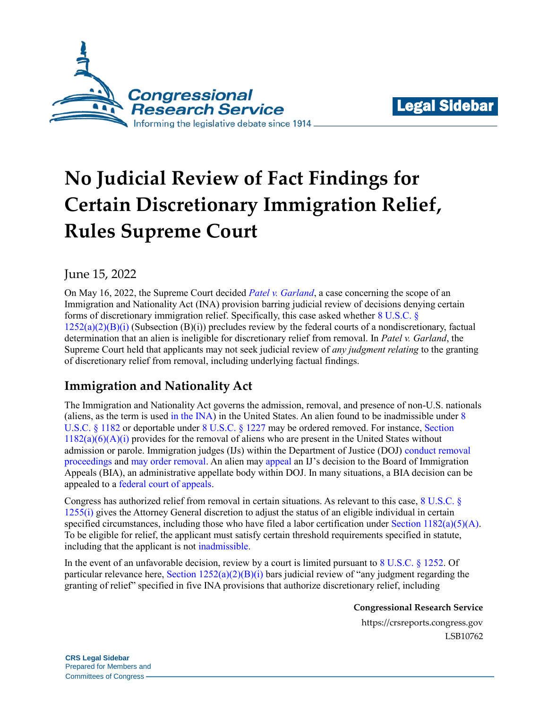



# **No Judicial Review of Fact Findings for Certain Discretionary Immigration Relief, Rules Supreme Court**

## June 15, 2022

On May 16, 2022, the Supreme Court decided *[Patel v. Garland](https://www.supremecourt.gov/opinions/21pdf/20-979_h3ci.pdf)*, a case concerning the scope of an Immigration and Nationality Act (INA) provision barring judicial review of decisions denying certain forms of discretionary immigration relief. Specifically, this case asked whether [8 U.S.C. §](https://www.govinfo.gov/content/pkg/USCODE-2016-title8/pdf/USCODE-2016-title8-chap12-subchapII-partV-sec1252.pdf#page=2)   $1252(a)(2)(B)(i)$  (Subsection  $(B)(i)$ ) precludes review by the federal courts of a nondiscretionary, factual determination that an alien is ineligible for discretionary relief from removal. In *Patel v. Garland*, the Supreme Court held that applicants may not seek judicial review of *any judgment relating* to the granting of discretionary relief from removal, including underlying factual findings.

## **Immigration and Nationality Act**

The Immigration and Nationality Act governs the admission, removal, and presence of non-U.S. nationals (aliens, as the term is used [in the INA\)](https://uscode.house.gov/view.xhtml?req=(title:8%20section:1101%20edition:prelim)) in the United States. An alien found to be inadmissible under [8](https://www.govinfo.gov/content/pkg/USCODE-2020-title8/pdf/USCODE-2020-title8-chap12-subchapII-partII-sec1182.pdf)  [U.S.C. § 1182](https://www.govinfo.gov/content/pkg/USCODE-2020-title8/pdf/USCODE-2020-title8-chap12-subchapII-partII-sec1182.pdf) or deportable under [8 U.S.C. § 1227](https://www.govinfo.gov/content/pkg/USCODE-2011-title8/pdf/USCODE-2011-title8-chap12-subchapII-partIV-sec1227.pdf) may be ordered removed. For instance, Section  $1182(a)(6)(A)(i)$  provides for the removal of aliens who are present in the United States without admission or parole. Immigration judges (IJs) within the Department of Justice (DOJ) [conduct removal](https://www.govinfo.gov/content/pkg/USCODE-2011-title8/pdf/USCODE-2011-title8-chap12-subchapII-partIV-sec1229a.pdf)  [proceedings](https://www.govinfo.gov/content/pkg/USCODE-2011-title8/pdf/USCODE-2011-title8-chap12-subchapII-partIV-sec1229a.pdf) and [may order removal.](https://crsreports.congress.gov/product/pdf/IF/IF11536) An alien may [appeal](https://www.govinfo.gov/content/pkg/CFR-2008-title8-vol1/pdf/CFR-2008-title8-vol1-sec1003-1.pdf) an IJ's decision to the Board of Immigration Appeals (BIA), an administrative appellate body within DOJ. In many situations, a BIA decision can be appealed to a [federal court of appeals.](https://www.govinfo.gov/content/pkg/CFR-2008-title8-vol1/pdf/CFR-2008-title8-vol1-sec1003-1.pdf#page=2)

Congress has authorized relief from removal in certain situations. As relevant to this case[, 8 U.S.C. §](https://www.govinfo.gov/content/pkg/USCODE-2020-title8/pdf/USCODE-2020-title8-chap12-subchapII-partV-sec1255.pdf#page=2)  [1255\(i\)](https://www.govinfo.gov/content/pkg/USCODE-2020-title8/pdf/USCODE-2020-title8-chap12-subchapII-partV-sec1255.pdf#page=2) gives the Attorney General discretion to adjust the status of an eligible individual in certain specified circumstances, including those who have filed a labor certification under Section  $1182(a)(5)(A)$ . To be eligible for relief, the applicant must satisfy certain threshold requirements specified in statute, including that the applicant is not [inadmissible.](https://www.govinfo.gov/content/pkg/USCODE-2020-title8/pdf/USCODE-2020-title8-chap12-subchapII-partII-sec1182.pdf)

In the event of an unfavorable decision, review by a court is limited pursuant to [8 U.S.C. § 1252.](https://www.govinfo.gov/content/pkg/USCODE-2016-title8/pdf/USCODE-2016-title8-chap12-subchapII-partV-sec1252.pdf) Of particular relevance here, Section  $1252(a)(2)(B)(i)$  bars judicial review of "any judgment regarding the granting of relief" specified in five INA provisions that authorize discretionary relief, including

**Congressional Research Service**

https://crsreports.congress.gov LSB10762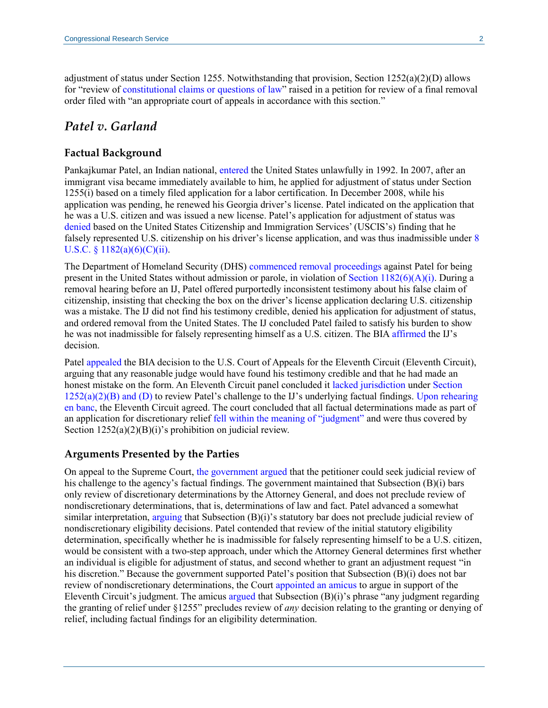adjustment of status under Section 1255. Notwithstanding that provision, Section 1252(a)(2)(D) allows for "review of [constitutional claims or questions of law"](https://www.govinfo.gov/content/pkg/USCODE-2016-title8/pdf/USCODE-2016-title8-chap12-subchapII-partV-sec1252.pdf#page=2) raised in a petition for review of a final removal order filed with "an appropriate court of appeals in accordance with this section."

## *Patel v. Garland*

#### **Factual Background**

Pankajkumar Patel, an Indian national, [entered](https://www.supremecourt.gov/opinions/21pdf/20-979_h3ci.pdf#page=7) the United States unlawfully in 1992. In 2007, after an immigrant visa became immediately available to him, he applied for adjustment of status under Section 1255(i) based on a timely filed application for a labor certification. In December 2008, while his application was pending, he renewed his Georgia driver's license. Patel indicated on the application that he was a U.S. citizen and was issued a new license. Patel's application for adjustment of status was [denied](https://www.supremecourt.gov/opinions/21pdf/20-979_h3ci.pdf#page=7) based on the United States Citizenship and Immigration Services' (USCIS's) finding that he falsely represented U.S. citizenship on his driver's license application, and was thus inadmissible under [8](https://www.govinfo.gov/content/pkg/USCODE-2020-title8/pdf/USCODE-2020-title8-chap12-subchapII-partII-sec1182.pdf#page=8)  U.S.C. §  $1182(a)(6)(C)(ii)$ .

The Department of Homeland Security (DHS) [commenced removal proceedings](https://www.supremecourt.gov/opinions/21pdf/20-979_h3ci.pdf#page=7) against Patel for being present in the United States without admission or parole, in violation of Section  $1182(6)(A)(i)$ . During a removal hearing before an IJ, Patel offered purportedly inconsistent testimony about his false claim of citizenship, insisting that checking the box on the driver's license application declaring U.S. citizenship was a mistake. The IJ did not find his testimony credible, denied his application for adjustment of status, and ordered removal from the United States. The IJ concluded Patel failed to satisfy his burden to show he was not inadmissible for falsely representing himself as a U.S. citizen. The BIA [affirmed](https://www.supremecourt.gov/opinions/21pdf/20-979_h3ci.pdf#page=9) the IJ's decision.

Pate[l appealed](https://media.ca11.uscourts.gov/opinions/pub/files/201710636.pdf) the BIA decision to the U.S. Court of Appeals for the Eleventh Circuit (Eleventh Circuit), arguing that any reasonable judge would have found his testimony credible and that he had made an honest mistake on the form. An Eleventh Circuit panel concluded it [lacked jurisdiction](https://media.ca11.uscourts.gov/opinions/pub/files/201710636.pdf#page=12) unde[r Section](https://www.govinfo.gov/content/pkg/USCODE-2016-title8/pdf/USCODE-2016-title8-chap12-subchapII-partV-sec1252.pdf#page=2)   $1252(a)(2)(B)$  and (D) to review Patel's challenge to the IJ's underlying factual findings. Upon rehearing [en banc,](https://media.ca11.uscourts.gov/opinions/pub/files/201710636.enb.pdf) the Eleventh Circuit agreed. The court concluded that all factual determinations made as part of an application for discretionary relief [fell within the meaning of "judgment"](https://media.ca11.uscourts.gov/opinions/pub/files/201710636.enb.pdf#page=30) and were thus covered by Section  $1252(a)(2)(B)(i)$ 's prohibition on judicial review.

#### **Arguments Presented by the Parties**

On appeal to the Supreme Court, [the government argued](https://www.supremecourt.gov/opinions/21pdf/20-979_h3ci.pdf#page=11) that the petitioner could seek judicial review of his challenge to the agency's factual findings. The government maintained that Subsection (B)(i) bars only review of discretionary determinations by the Attorney General, and does not preclude review of nondiscretionary determinations, that is, determinations of law and fact. Patel advanced a somewhat similar interpretation, [arguing](https://www.supremecourt.gov/opinions/21pdf/20-979_h3ci.pdf#page=12) that Subsection  $(B)(i)$ 's statutory bar does not preclude judicial review of nondiscretionary eligibility decisions. Patel contended that review of the initial statutory eligibility determination, specifically whether he is inadmissible for falsely representing himself to be a U.S. citizen, would be consistent with a two-step approach, under which the Attorney General determines first whether an individual is eligible for adjustment of status, and second whether to grant an adjustment request "in his discretion." Because the government supported Patel's position that Subsection (B)(i) does not bar review of nondiscretionary determinations, the Court [appointed an amicus](https://www.supremecourt.gov/opinions/21pdf/20-979_h3ci.pdf#page=10) to argue in support of the Eleventh Circuit's judgment. The amicu[s argued](https://www.supremecourt.gov/opinions/21pdf/20-979_h3ci.pdf#page=11) that Subsection (B)(i)'s phrase "any judgment regarding the granting of relief under §1255" precludes review of *any* decision relating to the granting or denying of relief, including factual findings for an eligibility determination.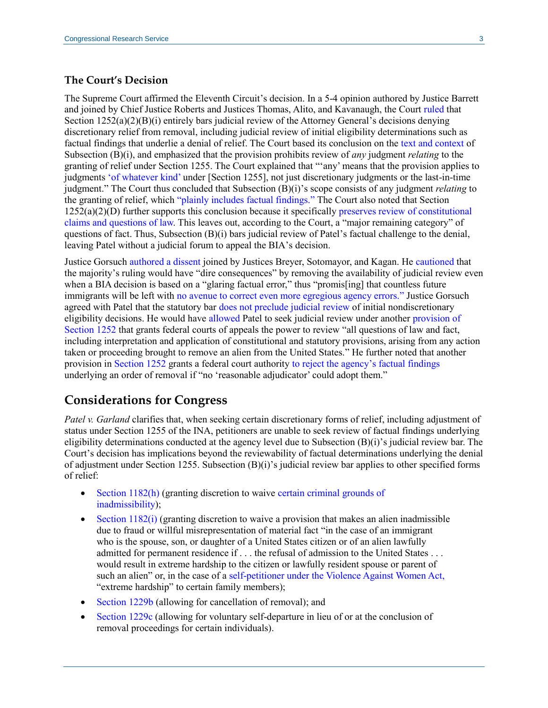#### **The Court's Decision**

The Supreme Court affirmed the Eleventh Circuit's decision. In a 5-4 opinion authored by Justice Barrett and joined by Chief Justice Roberts and Justices Thomas, Alito, and Kavanaugh, the Court [ruled](https://www.supremecourt.gov/opinions/21pdf/20-979_h3ci.pdf#page=5) that Section  $1252(a)(2)(B)(i)$  entirely bars judicial review of the Attorney General's decisions denying discretionary relief from removal, including judicial review of initial eligibility determinations such as factual findings that underlie a denial of relief. The Court based its conclusion on the [text and context](https://www.supremecourt.gov/opinions/21pdf/20-979_h3ci.pdf#page=12) of Subsection (B)(i), and emphasized that the provision prohibits review of *any* judgment *relating* to the granting of relief under Section 1255. The Court explained that "'any' means that the provision applies to judgments ['of whatever kind'](https://www.supremecourt.gov/opinions/21pdf/20-979_h3ci.pdf#page=12) under [Section 1255], not just discretionary judgments or the last-in-time judgment." The Court thus concluded that Subsection (B)(i)'s scope consists of any judgment *relating* to the granting of relief, which ["plainly includes factual findings."](https://www.supremecourt.gov/opinions/21pdf/20-979_h3ci.pdf#page=13) The Court also noted that Section 1252(a)(2)(D) further supports this conclusion because it specificall[y preserves review of constitutional](https://www.supremecourt.gov/opinions/21pdf/20-979_h3ci.pdf#page=13)  [claims and questions of law.](https://www.supremecourt.gov/opinions/21pdf/20-979_h3ci.pdf#page=13) This leaves out, according to the Court, a "major remaining category" of questions of fact. Thus, Subsection (B)(i) bars judicial review of Patel's factual challenge to the denial, leaving Patel without a judicial forum to appeal the BIA's decision.

Justice Gorsuc[h authored a dissent](https://www.supremecourt.gov/opinions/21pdf/20-979_h3ci.pdf#page=22) joined by Justices Breyer, Sotomayor, and Kagan. He [cautioned](https://www.supremecourt.gov/opinions/21pdf/20-979_h3ci.pdf#page=22) that the majority's ruling would have "dire consequences" by removing the availability of judicial review even when a BIA decision is based on a "glaring factual error," thus "promis[ing] that countless future immigrants will be left with [no avenue to correct even more egregious agency errors."](https://www.supremecourt.gov/opinions/21pdf/20-979_h3ci.pdf#page=27) Justice Gorsuch agreed with Patel that the statutory bar [does not preclude judicial review](https://www.supremecourt.gov/opinions/21pdf/20-979_h3ci.pdf#page=28) of initial nondiscretionary eligibility decisions. He would have [allowed](https://www.supremecourt.gov/opinions/21pdf/20-979_h3ci.pdf#page=27) Patel to seek judicial review under another [provision](https://www.govinfo.gov/content/pkg/USCODE-2016-title8/pdf/USCODE-2016-title8-chap12-subchapII-partV-sec1252.pdf#page=4) of Section 1252 that grants federal courts of appeals the power to review "all questions of law and fact, including interpretation and application of constitutional and statutory provisions, arising from any action taken or proceeding brought to remove an alien from the United States." He further noted that another provision in Section 1252 grants a federal court authority [to reject the agency's factual findings](https://www.govinfo.gov/content/pkg/USCODE-2016-title8/pdf/USCODE-2016-title8-chap12-subchapII-partV-sec1252.pdf#page=3) underlying an order of removal if "no 'reasonable adjudicator' could adopt them."

## **Considerations for Congress**

*Patel v. Garland* clarifies that, when seeking certain discretionary forms of relief, including adjustment of status under Section 1255 of the INA, petitioners are unable to seek review of factual findings underlying eligibility determinations conducted at the agency level due to Subsection (B)(i)'s judicial review bar. The Court's decision has implications beyond the reviewability of factual determinations underlying the denial of adjustment under Section 1255. Subsection (B)(i)'s judicial review bar applies to other specified forms of relief:

- [Section 1182\(h\)](https://www.govinfo.gov/content/pkg/USCODE-2020-title8/pdf/USCODE-2020-title8-chap12-subchapII-partII-sec1182.pdf#page=17) (granting discretion to waive certain criminal grounds of [inadmissibility\)](https://crsreports.congress.gov/product/pdf/LSB/LSB10603);
- $\bullet$  [Section 1182\(i\)](https://www.govinfo.gov/content/pkg/USCODE-2020-title8/pdf/USCODE-2020-title8-chap12-subchapII-partII-sec1182.pdf#page=17) (granting discretion to waive a provision that makes an alien inadmissible due to fraud or willful misrepresentation of material fact "in the case of an immigrant who is the spouse, son, or daughter of a United States citizen or of an alien lawfully admitted for permanent residence if . . . the refusal of admission to the United States . . . would result in extreme hardship to the citizen or lawfully resident spouse or parent of such an alien" or, in the case of a [self-petitioner under the Violence Against Women Act,](https://www.uscis.gov/green-card/green-card-eligibility/green-card-for-vawa-self-petitioner) "extreme hardship" to certain family members);
- [Section 1229b](https://www.govinfo.gov/content/pkg/USCODE-2011-title8/pdf/USCODE-2011-title8-chap12-subchapII-partIV-sec1229b.pdf) (allowing for cancellation of removal); and
- [Section 1229c](https://www.govinfo.gov/app/details/USCODE-1997-title8/USCODE-1997-title8-chap12-subchapII-partIV-sec1229c) (allowing for voluntary self-departure in lieu of or at the conclusion of removal proceedings for certain individuals).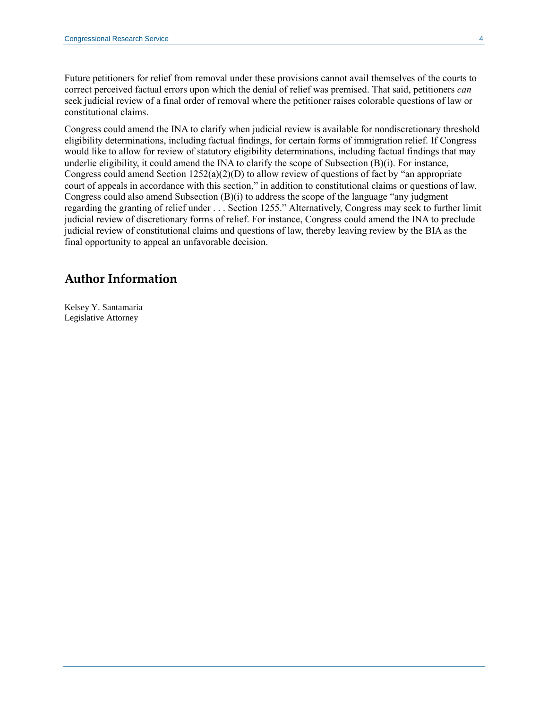Future petitioners for relief from removal under these provisions cannot avail themselves of the courts to correct perceived factual errors upon which the denial of relief was premised. That said, petitioners *can* seek judicial review of a final order of removal where the petitioner raises colorable questions of law or constitutional claims.

Congress could amend the INA to clarify when judicial review is available for nondiscretionary threshold eligibility determinations, including factual findings, for certain forms of immigration relief. If Congress would like to allow for review of statutory eligibility determinations, including factual findings that may underlie eligibility, it could amend the INA to clarify the scope of Subsection (B)(i). For instance, Congress could amend Section  $1252(a)(2)(D)$  to allow review of questions of fact by "an appropriate" court of appeals in accordance with this section," in addition to constitutional claims or questions of law. Congress could also amend Subsection (B)(i) to address the scope of the language "any judgment regarding the granting of relief under . . . Section 1255." Alternatively, Congress may seek to further limit judicial review of discretionary forms of relief. For instance, Congress could amend the INA to preclude judicial review of constitutional claims and questions of law, thereby leaving review by the BIA as the final opportunity to appeal an unfavorable decision.

## **Author Information**

Kelsey Y. Santamaria Legislative Attorney